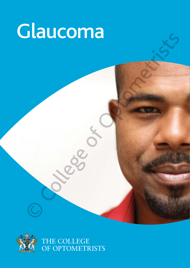# Glaucoma proprietarists

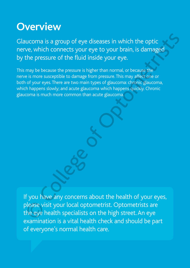# **Overview**

Glaucoma is a group of eye diseases in which the optic nerve, which connects your eye to your brain, is damaged by the pressure of the fluid inside your eye.

This may be because the pressure is higher than normal, or because the nerve is more susceptible to damage from pressure. This may affect one or both of your eyes. There are two main types of glaucoma: chronic glaucoma, which happens slowly; and acute glaucoma which happens quickly. Chronic glaucoma is much more common than acute glaucoma. Notion is a group of eye diseases in which the optic<br>
ve, which connects your eye to your brain, is damaged<br>
the pressure of the fluid inside your eye.<br>
may because the pressure is higher than normal, or because the<br>
is mo

If you have any concerns about the health of your eyes, please visit your local optometrist. Optometrists are the eye health specialists on the high street. An eye examination is a vital health check and should be part of everyone's normal health care.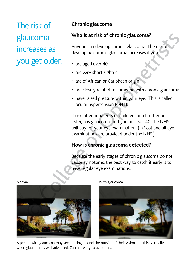The risk of glaucoma increases as

## **Chronic glaucoma**

## **Who is at risk of chronic glaucoma?**

Anyone can develop chronic glaucoma. The risk of developing chronic glaucoma increases if you:

- are aged over 40
- are very short-sighted
- are of African or Caribbean origin
- are closely related to someone with chronic glaucoma
- have raised pressure within your eye. This is called ocular hypertension (OHT).

If one of your parents or children, or a brother or sister, has glaucoma, and you are over 40, the NHS will pay for your eye examination. (In Scotland all eye examinations are provided under the NHS.)

## **How is chronic glaucoma detected?**

Because the early stages of chronic glaucoma do not cause symptoms, the best way to catch it early is to have regular eye examinations.

glaucoma<br>increases as<br>you get older.

Normal With glaucoma



A person with glaucoma may see blurring around the outside of their vision, but this is usually when glaucoma is well advanced. Catch it early to avoid this.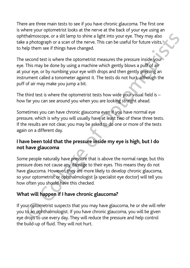There are three main tests to see if you have chronic glaucoma. The first one is where your optometrist looks at the nerve at the back of your eye using an ophthalmoscope, or a slit lamp to shine a light into your eye. They may also take a photograph or a scan of the nerve. This can be useful for future visits, to help them see if things have changed.

The second test is where the optometrist measures the pressure inside your eye. This may be done by using a machine which gently blows a puff of air at your eye, or by numbing your eye with drops and then gently pressing an instrument called a tonometer against it. The tests do not hurt, although the puff of air may make you jump a bit.

The third test is where the optometrist tests how wide your visual field is – how far you can see around you when you are looking straight ahead.

Sometimes you can have chronic glaucoma even if you have normal eye pressure, which is why you will usually have at least two of these three tests. If the results are not clear, you may be asked to do one or more of the tests again on a different day.

## **I have been told that the pressure inside my eye is high, but I do not have glaucoma**

Some people naturally have pressure that is above the normal range, but this pressure does not cause any damage to their eyes. This means they do not have glaucoma. However, they are more likely to develop chronic glaucoma, so your optometrist or ophthalmologist (a specialist eye doctor) will tell you how often you should have this checked. ophthalmoscope, or a slit lamp to shine a light into your eye. They may also<br>take a photograph or a scan of the nerve. This can be useful for future visits,<br>to help them see if things have changed.<br>The second test is where ope, or a slit lamp to shine a light into your eye. They may also<br>graph or a scan of the nerve. This can be useful for future visits,<br>see if things have changed.<br>Est is where the optometrist measures the pressure inside yo

## **What will happen if I have chronic glaucoma?**

If your optometrist suspects that you may have glaucoma, he or she will refer you to an ophthalmologist. If you have chronic glaucoma, you will be given eye drops to use every day. They will reduce the pressure and help control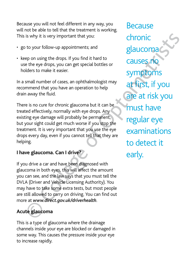Because you will not feel different in any way, you will not be able to tell that the treatment is working. This is why it is very important that you:

- go to your follow-up appointments; and
- keep on using the drops. If you find it hard to use the eye drops, you can get special bottles or holders to make it easier.

In a small number of cases, an ophthalmologist may recommend that you have an operation to help drain away the fluid.

There is no cure for chronic glaucoma but it can be treated effectively, normally with eye drops. Any existing eye damage will probably be permanent, but your sight could get much worse if you stop the treatment. It is very important that you use the eye drops every day, even if you cannot tell that they are helping. This is why it is very important that you:<br>
20 to your follow-up appointments; and<br>
20 to your follow-up appointments; and<br>
20 to your fillow-up appointments; and<br>
20 to your fillow-up appointments; and<br>
20 to use the eye

## **I have glaucoma. Can I drive?**

If you drive a car and have been diagnosed with glaucoma in both eyes, this will affect the amount you can see, and the law says that you must tell the DVLA (Driver and Vehicle Licensing Authority). You may have to take some extra tests, but most people are still allowed to carry on driving. You can find out more at *www.direct.gov.uk/driverhealth*.

## **Acute glaucoma**

This is a type of glaucoma where the drainage channels inside your eye are blocked or damaged in some way. This causes the pressure inside your eye to increase rapidly.

Because chronic glaucoma causes no symptoms at first, if you are at risk you must have regular eye examinations to detect it is why it is very important that you:<br>
to your follow-up appointments; and<br>
ep on using the drops. If you find it hard to<br>
the ethe eye drops, you can get special bottles or<br>
small number of cases, an ophthalmologist may<br>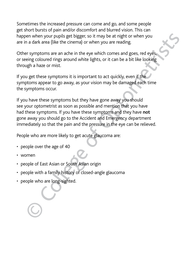Sometimes the increased pressure can come and go, and some people get short bursts of pain and/or discomfort and blurred vision. This can happen when your pupils get bigger, so it may be at night or when you are in a dark area (like the cinema) or when you are reading.

Other symptoms are an ache in the eye which comes and goes, red eyes, or seeing coloured rings around white lights, or it can be a bit like looking through a haze or mist.

If you get these symptoms it is important to act quickly, even if the symptoms appear to go away, as your vision may be damaged each time the symptoms occur.

If you have these symptoms but they have gone away you should see your optometrist as soon as possible and mention that you have had these symptoms. If you have these symptoms and they have **not** gone away you should go to the Accident and Emergency department immediately so that the pain and the pressure in the eye can be relieved. happen when your pupils get bigger, so it may be at night or when you<br>
are in a dark area (like the cinema) or when you are reading.<br>
Other symptoms are an ache in the eye which comes and goes, red eyes,<br>
Or seeing coloure

People who are more likely to get acute glaucoma are:

- people over the age of 40
- • women
- people of East Asian or South Asian origin
- people with a family history of closed-angle glaucoma
-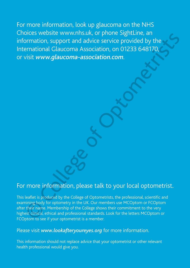For more information, look up glaucoma on the NHS Choices website www.nhs.uk, or phone SightLine, an information, support and advice service provided by the International Glaucoma Association, on 01233 648170, or visit *www.glaucoma-association.com*. Sites website www.filis.tat, of priories agricultie, and<br>
promation, support and advice service provided by the<br>
Frantional Glaucoma-association, on 01233 648170,<br>
Sist www.glaucoma-association.com.<br>
The work of optometris

## For more information, please talk to your local optometrist.

This leaflet is produced by the College of Optometrists, the professional, scientific and examining body for optometry in the UK. Our members use MCOptom or FCOptom after their name. Membership of the College shows their commitment to the very highest clinical, ethical and professional standards. Look for the letters MCOptom or FCOptom to see if your optometrist is a member.

## Please visit *www.lookafteryoureyes.org* for more information.

This information should not replace advice that your optometrist or other relevant health professional would give you.